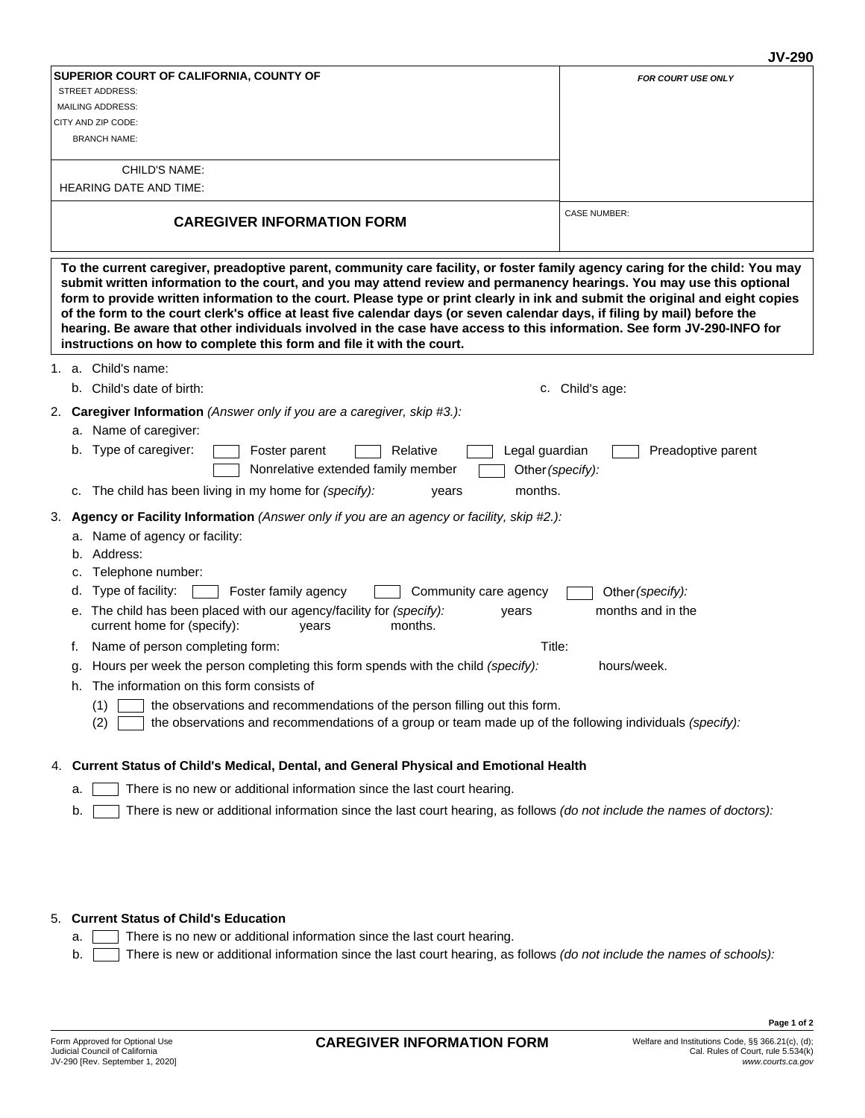|                                                                                                                                                                                                                                                                                                                                                                                                                                                                                                                                                                                                                                                                                                                           | <b>JV-290</b>                          |
|---------------------------------------------------------------------------------------------------------------------------------------------------------------------------------------------------------------------------------------------------------------------------------------------------------------------------------------------------------------------------------------------------------------------------------------------------------------------------------------------------------------------------------------------------------------------------------------------------------------------------------------------------------------------------------------------------------------------------|----------------------------------------|
| SUPERIOR COURT OF CALIFORNIA, COUNTY OF                                                                                                                                                                                                                                                                                                                                                                                                                                                                                                                                                                                                                                                                                   | <b>FOR COURT USE ONLY</b>              |
| <b>STREET ADDRESS:</b>                                                                                                                                                                                                                                                                                                                                                                                                                                                                                                                                                                                                                                                                                                    |                                        |
| <b>MAILING ADDRESS:</b>                                                                                                                                                                                                                                                                                                                                                                                                                                                                                                                                                                                                                                                                                                   |                                        |
| CITY AND ZIP CODE:                                                                                                                                                                                                                                                                                                                                                                                                                                                                                                                                                                                                                                                                                                        |                                        |
| <b>BRANCH NAME:</b>                                                                                                                                                                                                                                                                                                                                                                                                                                                                                                                                                                                                                                                                                                       |                                        |
| CHILD'S NAME:                                                                                                                                                                                                                                                                                                                                                                                                                                                                                                                                                                                                                                                                                                             |                                        |
| <b>HEARING DATE AND TIME:</b>                                                                                                                                                                                                                                                                                                                                                                                                                                                                                                                                                                                                                                                                                             |                                        |
| <b>CAREGIVER INFORMATION FORM</b>                                                                                                                                                                                                                                                                                                                                                                                                                                                                                                                                                                                                                                                                                         | <b>CASE NUMBER:</b>                    |
| To the current caregiver, preadoptive parent, community care facility, or foster family agency caring for the child: You may<br>submit written information to the court, and you may attend review and permanency hearings. You may use this optional<br>form to provide written information to the court. Please type or print clearly in ink and submit the original and eight copies<br>of the form to the court clerk's office at least five calendar days (or seven calendar days, if filing by mail) before the<br>hearing. Be aware that other individuals involved in the case have access to this information. See form JV-290-INFO for<br>instructions on how to complete this form and file it with the court. |                                        |
| 1. a. Child's name:                                                                                                                                                                                                                                                                                                                                                                                                                                                                                                                                                                                                                                                                                                       |                                        |
| b. Child's date of birth:                                                                                                                                                                                                                                                                                                                                                                                                                                                                                                                                                                                                                                                                                                 | c. Child's age:                        |
| <b>Caregiver Information</b> (Answer only if you are a caregiver, skip #3.):<br>2.                                                                                                                                                                                                                                                                                                                                                                                                                                                                                                                                                                                                                                        |                                        |
| a. Name of caregiver:                                                                                                                                                                                                                                                                                                                                                                                                                                                                                                                                                                                                                                                                                                     |                                        |
| Type of caregiver:<br>Legal guardian<br>Foster parent<br>Relative<br>b.<br>Nonrelative extended family member                                                                                                                                                                                                                                                                                                                                                                                                                                                                                                                                                                                                             | Preadoptive parent<br>Other (specify): |
| months.<br>The child has been living in my home for (specify):<br>years<br>C.                                                                                                                                                                                                                                                                                                                                                                                                                                                                                                                                                                                                                                             |                                        |
| 3. Agency or Facility Information (Answer only if you are an agency or facility, skip #2.):                                                                                                                                                                                                                                                                                                                                                                                                                                                                                                                                                                                                                               |                                        |
| a. Name of agency or facility:                                                                                                                                                                                                                                                                                                                                                                                                                                                                                                                                                                                                                                                                                            |                                        |
| b. Address:                                                                                                                                                                                                                                                                                                                                                                                                                                                                                                                                                                                                                                                                                                               |                                        |
| Telephone number:<br>c.                                                                                                                                                                                                                                                                                                                                                                                                                                                                                                                                                                                                                                                                                                   |                                        |
| Type of facility:<br>Foster family agency<br>Community care agency<br>d.                                                                                                                                                                                                                                                                                                                                                                                                                                                                                                                                                                                                                                                  | Other (specify):                       |
| e. The child has been placed with our agency/facility for (specify):<br>years<br>current home for (specify):<br>months.<br>years                                                                                                                                                                                                                                                                                                                                                                                                                                                                                                                                                                                          | months and in the                      |
| Name of person completing form:<br>f.                                                                                                                                                                                                                                                                                                                                                                                                                                                                                                                                                                                                                                                                                     | Title:                                 |
| Hours per week the person completing this form spends with the child (specify):<br>g.                                                                                                                                                                                                                                                                                                                                                                                                                                                                                                                                                                                                                                     | hours/week.                            |
| h. The information on this form consists of                                                                                                                                                                                                                                                                                                                                                                                                                                                                                                                                                                                                                                                                               |                                        |
| the observations and recommendations of the person filling out this form.<br>(1)<br>the observations and recommendations of a group or team made up of the following individuals (specify):<br>(2)                                                                                                                                                                                                                                                                                                                                                                                                                                                                                                                        |                                        |
| 4. Current Status of Child's Medical, Dental, and General Physical and Emotional Health                                                                                                                                                                                                                                                                                                                                                                                                                                                                                                                                                                                                                                   |                                        |
| There is no new or additional information since the last court hearing.<br>а.                                                                                                                                                                                                                                                                                                                                                                                                                                                                                                                                                                                                                                             |                                        |

b. There is new or additional information since the last court hearing, as follows *(do not include the names of doctors):*

# 5. **Current Status of Child's Education**

- a. There is no new or additional information since the last court hearing.
- b. There is new or additional information since the last court hearing, as follows *(do not include the names of schools):*